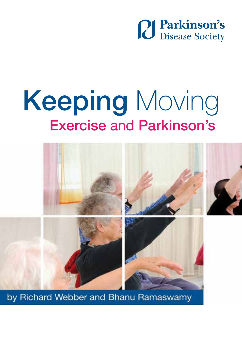

## Exercise and Parkinson's Keeping Moving



by Richard Webber and Bhanu Ramaswamy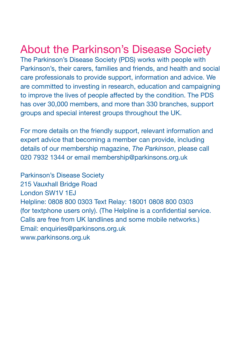### About the Parkinson's Disease Society

The Parkinson's Disease Society (PDS) works with people with Parkinson's, their carers, families and friends, and health and social care professionals to provide support, information and advice. We are committed to investing in research, education and campaigning to improve the lives of people affected by the condition. The PDS has over 30,000 members, and more than 330 branches, support groups and special interest groups throughout the UK.

For more details on the friendly support, relevant information and expert advice that becoming a member can provide, including details of our membership magazine, *The Parkinson*, please call 020 7932 1344 or email membership@parkinsons.org.uk

Parkinson's Disease Society 215 Vauxhall Bridge Road London SW1V 1EJ Helpline: 0808 800 0303 Text Relay: 18001 0808 800 0303 (for textphone users only). (The Helpline is a confidential service. Calls are free from UK landlines and some mobile networks.) Email: enquiries@parkinsons.org.uk www.parkinsons.org.uk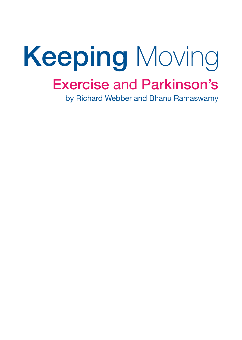# Exercise and Parkinson's Keeping Moving

by Richard Webber and Bhanu Ramaswamy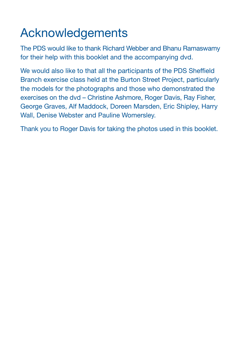### Acknowledgements

The PDS would like to thank Richard Webber and Bhanu Ramaswamy for their help with this booklet and the accompanying dvd.

We would also like to that all the participants of the PDS Sheffield Branch exercise class held at the Burton Street Project, particularly the models for the photographs and those who demonstrated the exercises on the dvd – Christine Ashmore, Roger Davis, Ray Fisher, George Graves, Alf Maddock, Doreen Marsden, Eric Shipley, Harry Wall, Denise Webster and Pauline Womersley.

Thank you to Roger Davis for taking the photos used in this booklet.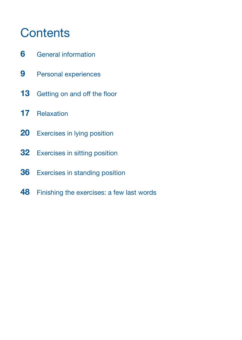### **Contents**

- General information
- Personal experiences
- 13 Getting on and off the floor
- Relaxation
- 20 Exercises in lying position
- Exercises in sitting position
- Exercises in standing position
- Finishing the exercises: a few last words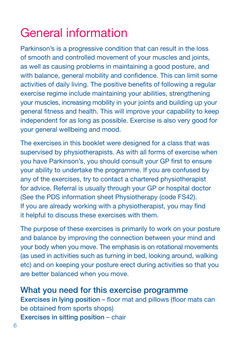## General information

Parkinson's is a progressive condition that can result in the loss of smooth and controlled movement of your muscles and joints, as well as causing problems in maintaining a good posture, and with balance, general mobility and confidence. This can limit some activities of daily living. The positive benefits of following a regular exercise regime include maintaining your abilities, strengthening your muscles, increasing mobility in your joints and building up your general fitness and health. This will improve your capability to keep independent for as long as possible. Exercise is also very good for your general wellbeing and mood.

The exercises in this booklet were designed for a class that was supervised by physiotherapists. As with all forms of exercise when you have Parkinson's, you should consult your GP first to ensure your ability to undertake the programme. If you are confused by any of the exercises, try to contact a chartered physiotherapist for advice. Referral is usually through your GP or hospital doctor (See the PDS information sheet Physiotherapy (code FS42). If you are already working with a physiotherapist, you may find it helpful to discuss these exercises with them.

The purpose of these exercises is primarily to work on your posture and balance by improving the connection between your mind and your body when you move. The emphasis is on rotational movements (as used in activities such as turning in bed, looking around, walking etc) and on keeping your posture erect during activities so that you are better balanced when you move.

What you need for this exercise programme Exercises in lying position – floor mat and pillows (floor mats can be obtained from sports shops) Exercises in sitting position – chair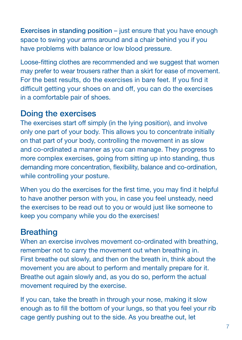Exercises in standing position – just ensure that you have enough space to swing your arms around and a chair behind you if you have problems with balance or low blood pressure.

Loose-fitting clothes are recommended and we suggest that women may prefer to wear trousers rather than a skirt for ease of movement. For the best results, do the exercises in bare feet. If you find it difficult getting your shoes on and off, you can do the exercises in a comfortable pair of shoes.

#### Doing the exercises

The exercises start off simply (in the lying position), and involve only one part of your body. This allows you to concentrate initially on that part of your body, controlling the movement in as slow and co-ordinated a manner as you can manage. They progress to more complex exercises, going from sitting up into standing, thus demanding more concentration, flexibility, balance and co-ordination, while controlling your posture.

When you do the exercises for the first time, you may find it helpful to have another person with you, in case you feel unsteady, need the exercises to be read out to you or would just like someone to keep you company while you do the exercises!

#### **Breathing**

When an exercise involves movement co-ordinated with breathing, remember not to carry the movement out when breathing in. First breathe out slowly, and then on the breath in, think about the movement you are about to perform and mentally prepare for it. Breathe out again slowly and, as you do so, perform the actual movement required by the exercise.

If you can, take the breath in through your nose, making it slow enough as to fill the bottom of your lungs, so that you feel your rib cage gently pushing out to the side. As you breathe out, let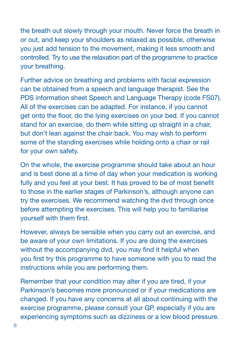the breath out slowly through your mouth. Never force the breath in or out, and keep your shoulders as relaxed as possible, otherwise you just add tension to the movement, making it less smooth and controlled. Try to use the relaxation part of the programme to practice your breathing.

Further advice on breathing and problems with facial expression can be obtained from a speech and language therapist. See the PDS information sheet Speech and Language Therapy (code FS07). All of the exercises can be adapted. For instance, if you cannot get onto the floor, do the lying exercises on your bed. If you cannot stand for an exercise, do them while sitting up straight in a chair, but don't lean against the chair back. You may wish to perform some of the standing exercises while holding onto a chair or rail for your own safety.

On the whole, the exercise programme should take about an hour and is best done at a time of day when your medication is working fully and you feel at your best. It has proved to be of most benefit to those in the earlier stages of Parkinson's, although anyone can try the exercises. We recommend watching the dvd through once before attempting the exercises. This will help you to familiarise yourself with them first.

However, always be sensible when you carry out an exercise, and be aware of your own limitations. If you are doing the exercises without the accompanying dvd, you may find it helpful when you first try this programme to have someone with you to read the instructions while you are performing them.

Remember that your condition may alter if you are tired, if your Parkinson's becomes more pronounced or if your medications are changed. If you have any concerns at all about continuing with the exercise programme, please consult your GP, especially if you are experiencing symptoms such as dizziness or a low blood pressure.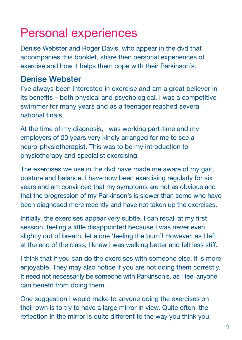### Personal experiences

Denise Webster and Roger Davis, who appear in the dvd that accompanies this booklet, share their personal experiences of exercise and how it helps them cope with their Parkinson's.

#### Denise Webster

I've always been interested in exercise and am a great believer in its benefits – both physical and psychological. I was a competitive swimmer for many years and as a teenager reached several national finals.

At the time of my diagnosis, I was working part-time and my employers of 20 years very kindly arranged for me to see a neuro-physiotherapist. This was to be my introduction to physiotherapy and specialist exercising.

The exercises we use in the dvd have made me aware of my gait, posture and balance. I have now been exercising regularly for six years and am convinced that my symptoms are not as obvious and that the progression of my Parkinson's is slower than some who have been diagnosed more recently and have not taken up the exercises.

Initially, the exercises appear very subtle. I can recall at my first session, feeling a little disappointed because I was never even slightly out of breath, let alone 'feeling the burn'! However, as I left at the end of the class, I knew I was walking better and felt less stiff.

I think that if you can do the exercises with someone else, it is more enjoyable. They may also notice if you are not doing them correctly. It need not necessarily be someone with Parkinson's, as I feel anyone can benefit from doing them.

One suggestion I would make to anyone doing the exercises on their own is to try to have a large mirror in view. Quite often, the reflection in the mirror is quite different to the way you think you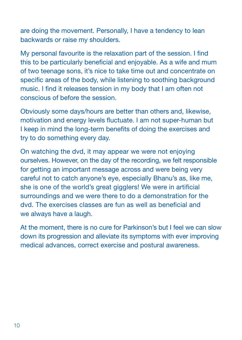are doing the movement. Personally, I have a tendency to lean backwards or raise my shoulders.

My personal favourite is the relaxation part of the session. I find this to be particularly beneficial and enjoyable. As a wife and mum of two teenage sons, it's nice to take time out and concentrate on specific areas of the body, while listening to soothing background music. I find it releases tension in my body that I am often not conscious of before the session.

Obviously some days/hours are better than others and, likewise, motivation and energy levels fluctuate. I am not super-human but I keep in mind the long-term benefits of doing the exercises and try to do something every day.

On watching the dvd, it may appear we were not enjoying ourselves. However, on the day of the recording, we felt responsible for getting an important message across and were being very careful not to catch anyone's eye, especially Bhanu's as, like me, she is one of the world's great gigglers! We were in artificial surroundings and we were there to do a demonstration for the dvd. The exercises classes are fun as well as beneficial and we always have a laugh.

At the moment, there is no cure for Parkinson's but I feel we can slow down its progression and alleviate its symptoms with ever improving medical advances, correct exercise and postural awareness.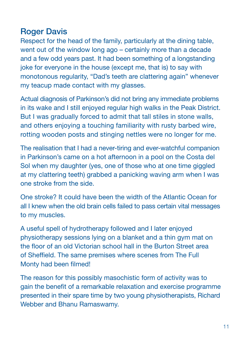#### **Roger Davis**

Respect for the head of the family, particularly at the dining table, went out of the window long ago – certainly more than a decade and a few odd years past. It had been something of a longstanding joke for everyone in the house (except me, that is) to say with monotonous regularity, "Dad's teeth are clattering again" whenever my teacup made contact with my glasses.

Actual diagnosis of Parkinson's did not bring any immediate problems in its wake and I still enjoyed regular high walks in the Peak District. But I was gradually forced to admit that tall stiles in stone walls, and others enjoying a touching familiarity with rusty barbed wire, rotting wooden posts and stinging nettles were no longer for me.

The realisation that I had a never-tiring and ever-watchful companion in Parkinson's came on a hot afternoon in a pool on the Costa del Sol when my daughter (yes, one of those who at one time giggled at my clattering teeth) grabbed a panicking waving arm when I was one stroke from the side.

One stroke? It could have been the width of the Atlantic Ocean for all I knew when the old brain cells failed to pass certain vital messages to my muscles.

A useful spell of hydrotherapy followed and I later enjoyed physiotherapy sessions lying on a blanket and a thin gym mat on the floor of an old Victorian school hall in the Burton Street area of Sheffield. The same premises where scenes from The Full Monty had been filmed!

The reason for this possibly masochistic form of activity was to gain the benefit of a remarkable relaxation and exercise programme presented in their spare time by two young physiotherapists, Richard Webber and Bhanu Ramaswamy.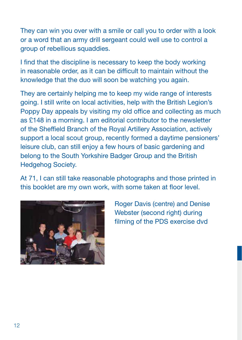They can win you over with a smile or call you to order with a look or a word that an army drill sergeant could well use to control a group of rebellious squaddies.

I find that the discipline is necessary to keep the body working in reasonable order, as it can be difficult to maintain without the knowledge that the duo will soon be watching you again.

They are certainly helping me to keep my wide range of interests going. I still write on local activities, help with the British Legion's Poppy Day appeals by visiting my old office and collecting as much as £148 in a morning. I am editorial contributor to the newsletter of the Sheffield Branch of the Royal Artillery Association, actively support a local scout group, recently formed a daytime pensioners' leisure club, can still enjoy a few hours of basic gardening and belong to the South Yorkshire Badger Group and the British Hedgehog Society.

At 71, I can still take reasonable photographs and those printed in this booklet are my own work, with some taken at floor level.



Roger Davis (centre) and Denise Webster (second right) during filming of the PDS exercise dvd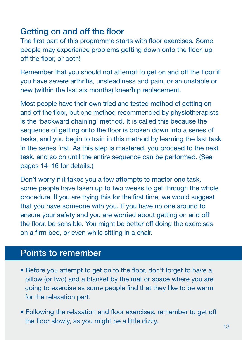#### Getting on and off the floor

The first part of this programme starts with floor exercises. Some people may experience problems getting down onto the floor, up off the floor, or both!

Remember that you should not attempt to get on and off the floor if you have severe arthritis, unsteadiness and pain, or an unstable or new (within the last six months) knee/hip replacement.

Most people have their own tried and tested method of getting on and off the floor, but one method recommended by physiotherapists is the 'backward chaining' method. It is called this because the sequence of getting onto the floor is broken down into a series of tasks, and you begin to train in this method by learning the last task in the series first. As this step is mastered, you proceed to the next task, and so on until the entire sequence can be performed. (See pages 14–16 for details.)

Don't worry if it takes you a few attempts to master one task, some people have taken up to two weeks to get through the whole procedure. If you are trying this for the first time, we would suggest that you have someone with you. If you have no one around to ensure your safety and you are worried about getting on and off the floor, be sensible. You might be better off doing the exercises on a firm bed, or even while sitting in a chair.

#### Points to remember

- Before you attempt to get on to the floor, don't forget to have a pillow (or two) and a blanket by the mat or space where you are going to exercise as some people find that they like to be warm for the relaxation part.
- Following the relaxation and floor exercises, remember to get off the floor slowly, as you might be a little dizzy.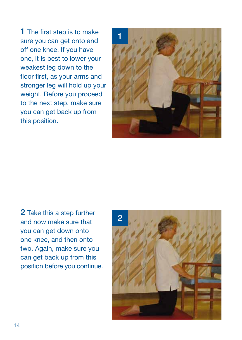1 The first step is to make sure you can get onto and off one knee. If you have one, it is best to lower your weakest leg down to the floor first, as your arms and stronger leg will hold up your weight. Before you proceed to the next step, make sure you can get back up from this position.



2 Take this a step further and now make sure that you can get down onto one knee, and then onto two. Again, make sure you can get back up from this position before you continue.

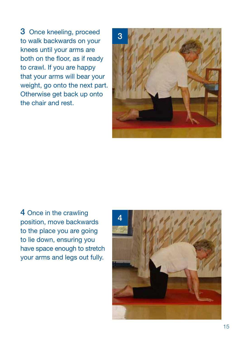3 Once kneeling, proceed to walk backwards on your knees until your arms are both on the floor, as if ready to crawl. If you are happy that your arms will bear your weight, go onto the next part. Otherwise get back up onto the chair and rest.



4 Once in the crawling position, move backwards to the place you are going to lie down, ensuring you have space enough to stretch your arms and legs out fully.

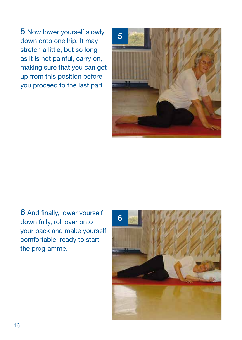5 Now lower yourself slowly down onto one hip. It may stretch a little, but so long as it is not painful, carry on, making sure that you can get up from this position before you proceed to the last part.



6 And finally, lower yourself down fully, roll over onto your back and make yourself comfortable, ready to start the programme.

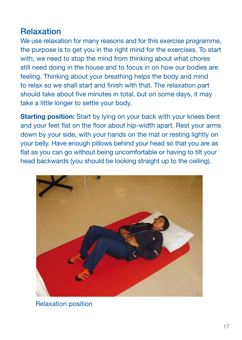#### Relaxation

We use relaxation for many reasons and for this exercise programme, the purpose is to get you in the right mind for the exercises. To start with, we need to stop the mind from thinking about what chores still need doing in the house and to focus in on how our bodies are feeling. Thinking about your breathing helps the body and mind to relax so we shall start and finish with that. The relaxation part should take about five minutes in total, but on some days, it may take a little longer to settle your body.

**Starting position:** Start by lying on your back with your knees bent and your feet flat on the floor about hip-width apart. Rest your arms down by your side, with your hands on the mat or resting lightly on your belly. Have enough pillows behind your head so that you are as flat as you can go without being uncomfortable or having to tilt your head backwards (you should be looking straight up to the ceiling).



Relaxation position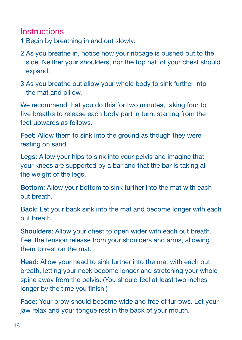#### **Instructions**

- 1 Begin by breathing in and out slowly.
- 2 As you breathe in, notice how your ribcage is pushed out to the side. Neither your shoulders, nor the top half of your chest should expand.
- 3 As you breathe out allow your whole body to sink further into the mat and pillow.

We recommend that you do this for two minutes, taking four to five breaths to release each body part in turn, starting from the feet upwards as follows.

Feet: Allow them to sink into the ground as though they were resting on sand.

Legs: Allow your hips to sink into your pelvis and imagine that your knees are supported by a bar and that the bar is taking all the weight of the legs.

Bottom: Allow your bottom to sink further into the mat with each out breath.

Back: Let your back sink into the mat and become longer with each out breath.

Shoulders: Allow your chest to open wider with each out breath. Feel the tension release from your shoulders and arms, allowing them to rest on the mat.

Head: Allow your head to sink further into the mat with each out breath, letting your neck become longer and stretching your whole spine away from the pelvis. (You should feel at least two inches longer by the time you finish!)

Face: Your brow should become wide and free of furrows. Let your jaw relax and your tongue rest in the back of your mouth.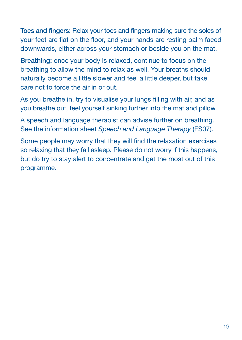Toes and fingers: Relax your toes and fingers making sure the soles of your feet are flat on the floor, and your hands are resting palm faced downwards, either across your stomach or beside you on the mat.

Breathing: once your body is relaxed, continue to focus on the breathing to allow the mind to relax as well. Your breaths should naturally become a little slower and feel a little deeper, but take care not to force the air in or out.

As you breathe in, try to visualise your lungs filling with air, and as you breathe out, feel yourself sinking further into the mat and pillow.

A speech and language therapist can advise further on breathing. See the information sheet *Speech and Language Therapy* (FS07).

Some people may worry that they will find the relaxation exercises so relaxing that they fall asleep. Please do not worry if this happens, but do try to stay alert to concentrate and get the most out of this programme.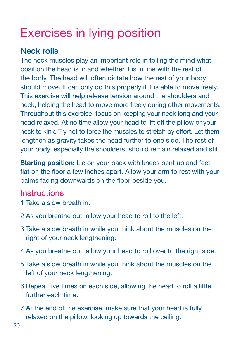### Exercises in lying position

#### Neck rolls

The neck muscles play an important role in telling the mind what position the head is in and whether it is in line with the rest of the body. The head will often dictate how the rest of your body should move. It can only do this properly if it is able to move freely. This exercise will help release tension around the shoulders and neck, helping the head to move more freely during other movements. Throughout this exercise, focus on keeping your neck long and your head relaxed. At no time allow your head to lift off the pillow or your neck to kink. Try not to force the muscles to stretch by effort. Let them lengthen as gravity takes the head further to one side. The rest of your body, especially the shoulders, should remain relaxed and still.

Starting position: Lie on your back with knees bent up and feet flat on the floor a few inches apart. Allow your arm to rest with your palms facing downwards on the floor beside you.

- 1 Take a slow breath in.
- 2 As you breathe out, allow your head to roll to the left.
- 3 Take a slow breath in while you think about the muscles on the right of your neck lengthening.
- 4 As you breathe out, allow your head to roll over to the right side.
- 5 Take a slow breath in while you think about the muscles on the left of your neck lengthening.
- 6 Repeat five times on each side, allowing the head to roll a little further each time.
- 7 At the end of the exercise, make sure that your head is fully relaxed on the pillow, looking up towards the ceiling.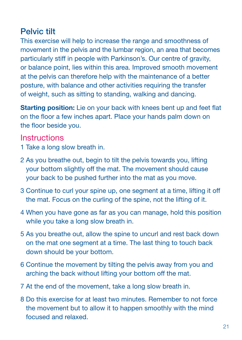#### Pelvic tilt

This exercise will help to increase the range and smoothness of movement in the pelvis and the lumbar region, an area that becomes particularly stiff in people with Parkinson's. Our centre of gravity, or balance point, lies within this area. Improved smooth movement at the pelvis can therefore help with the maintenance of a better posture, with balance and other activities requiring the transfer of weight, such as sitting to standing, walking and dancing.

Starting position: Lie on your back with knees bent up and feet flat on the floor a few inches apart. Place your hands palm down on the floor beside you.

- 1 Take a long slow breath in.
- 2 As you breathe out, begin to tilt the pelvis towards you, lifting your bottom slightly off the mat. The movement should cause your back to be pushed further into the mat as you move.
- 3 Continue to curl your spine up, one segment at a time, lifting it off the mat. Focus on the curling of the spine, not the lifting of it.
- 4 When you have gone as far as you can manage, hold this position while you take a long slow breath in.
- 5 As you breathe out, allow the spine to uncurl and rest back down on the mat one segment at a time. The last thing to touch back down should be your bottom.
- 6 Continue the movement by tilting the pelvis away from you and arching the back without lifting your bottom off the mat.
- 7 At the end of the movement, take a long slow breath in.
- 8 Do this exercise for at least two minutes. Remember to not force the movement but to allow it to happen smoothly with the mind focused and relaxed.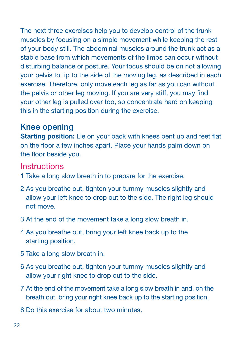The next three exercises help you to develop control of the trunk muscles by focusing on a simple movement while keeping the rest of your body still. The abdominal muscles around the trunk act as a stable base from which movements of the limbs can occur without disturbing balance or posture. Your focus should be on not allowing your pelvis to tip to the side of the moving leg, as described in each exercise. Therefore, only move each leg as far as you can without the pelvis or other leg moving. If you are very stiff, you may find your other leg is pulled over too, so concentrate hard on keeping this in the starting position during the exercise.

#### Knee opening

Starting position: Lie on your back with knees bent up and feet flat on the floor a few inches apart. Place your hands palm down on the floor beside you.

- 1 Take a long slow breath in to prepare for the exercise.
- 2 As you breathe out, tighten your tummy muscles slightly and allow your left knee to drop out to the side. The right leg should not move.
- 3 At the end of the movement take a long slow breath in.
- 4 As you breathe out, bring your left knee back up to the starting position.
- 5 Take a long slow breath in.
- 6 As you breathe out, tighten your tummy muscles slightly and allow your right knee to drop out to the side.
- 7 At the end of the movement take a long slow breath in and, on the breath out, bring your right knee back up to the starting position.
- 8 Do this exercise for about two minutes.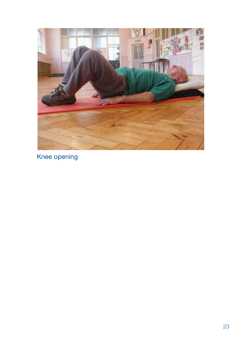

Knee opening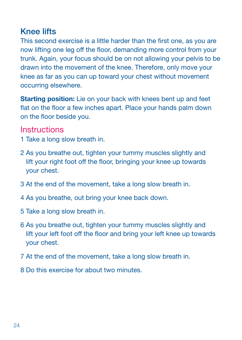#### Knee lifts

This second exercise is a little harder than the first one, as you are now lifting one leg off the floor, demanding more control from your trunk. Again, your focus should be on not allowing your pelvis to be drawn into the movement of the knee. Therefore, only move your knee as far as you can up toward your chest without movement occurring elsewhere.

Starting position: Lie on your back with knees bent up and feet flat on the floor a few inches apart. Place your hands palm down on the floor beside you.

- 1 Take a long slow breath in.
- 2 As you breathe out, tighten your tummy muscles slightly and lift your right foot off the floor, bringing your knee up towards your chest.
- 3 At the end of the movement, take a long slow breath in.
- 4 As you breathe, out bring your knee back down.
- 5 Take a long slow breath in.
- 6 As you breathe out, tighten your tummy muscles slightly and lift your left foot off the floor and bring your left knee up towards your chest.
- 7 At the end of the movement, take a long slow breath in.
- 8 Do this exercise for about two minutes.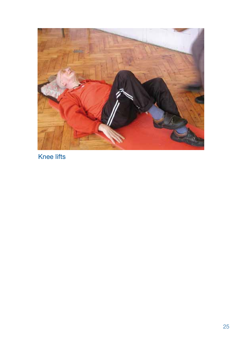

Knee lifts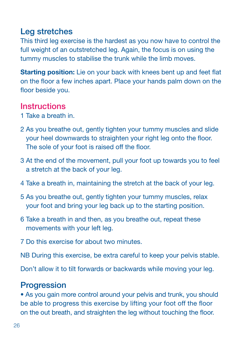#### Leg stretches

This third leg exercise is the hardest as you now have to control the full weight of an outstretched leg. Again, the focus is on using the tummy muscles to stabilise the trunk while the limb moves.

Starting position: Lie on your back with knees bent up and feet flat on the floor a few inches apart. Place your hands palm down on the floor beside you.

#### **Instructions**

- 1 Take a breath in.
- 2 As you breathe out, gently tighten your tummy muscles and slide your heel downwards to straighten your right leg onto the floor. The sole of your foot is raised off the floor.
- 3 At the end of the movement, pull your foot up towards you to feel a stretch at the back of your leg.
- 4 Take a breath in, maintaining the stretch at the back of your leg.
- 5 As you breathe out, gently tighten your tummy muscles, relax your foot and bring your leg back up to the starting position.
- 6 Take a breath in and then, as you breathe out, repeat these movements with your left leg.
- 7 Do this exercise for about two minutes.

NB During this exercise, be extra careful to keep your pelvis stable.

Don't allow it to tilt forwards or backwards while moving your leg.

#### **Progression**

• As you gain more control around your pelvis and trunk, you should be able to progress this exercise by lifting your foot off the floor on the out breath, and straighten the leg without touching the floor.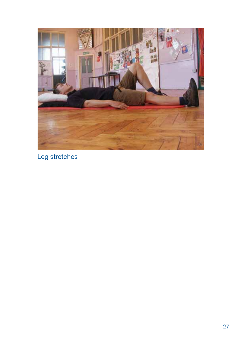

Leg stretches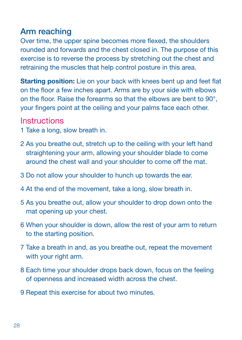#### Arm reaching

Over time, the upper spine becomes more flexed, the shoulders rounded and forwards and the chest closed in. The purpose of this exercise is to reverse the process by stretching out the chest and retraining the muscles that help control posture in this area.

Starting position: Lie on your back with knees bent up and feet flat on the floor a few inches apart. Arms are by your side with elbows on the floor. Raise the forearms so that the elbows are bent to 90°, your fingers point at the ceiling and your palms face each other.

- 1 Take a long, slow breath in.
- 2 As you breathe out, stretch up to the ceiling with your left hand straightening your arm, allowing your shoulder blade to come around the chest wall and your shoulder to come off the mat.
- 3 Do not allow your shoulder to hunch up towards the ear.
- 4 At the end of the movement, take a long, slow breath in.
- 5 As you breathe out, allow your shoulder to drop down onto the mat opening up your chest.
- 6 When your shoulder is down, allow the rest of your arm to return to the starting position.
- 7 Take a breath in and, as you breathe out, repeat the movement with your right arm.
- 8 Each time your shoulder drops back down, focus on the feeling of openness and increased width across the chest.
- 9 Repeat this exercise for about two minutes.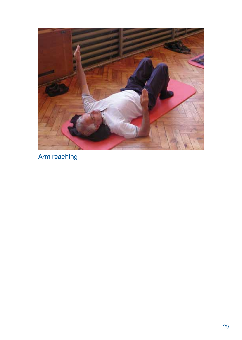

Arm reaching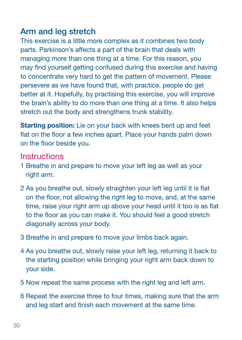#### Arm and leg stretch

This exercise is a little more complex as it combines two body parts. Parkinson's affects a part of the brain that deals with managing more than one thing at a time. For this reason, you may find yourself getting confused during this exercise and having to concentrate very hard to get the pattern of movement. Please persevere as we have found that, with practice, people do get better at it. Hopefully, by practising this exercise, you will improve the brain's ability to do more than one thing at a time. It also helps stretch out the body and strengthens trunk stability.

Starting position: Lie on your back with knees bent up and feet flat on the floor a few inches apart. Place your hands palm down on the floor beside you.

- 1 Breathe in and prepare to move your left leg as well as your right arm.
- 2 As you breathe out, slowly straighten your left leg until it is flat on the floor, not allowing the right leg to move, and, at the same time, raise your right arm up above your head until it too is as flat to the floor as you can make it. You should feel a good stretch diagonally across your body.
- 3 Breathe in and prepare to move your limbs back again.
- 4 As you breathe out, slowly raise your left leg, returning it back to the starting position while bringing your right arm back down to your side.
- 5 Now repeat the same process with the right leg and left arm.
- 6 Repeat the exercise three to four times, making sure that the arm and leg start and finish each movement at the same time.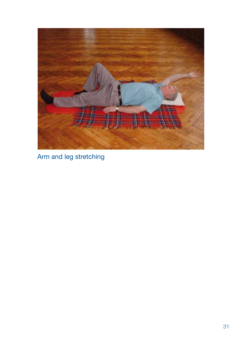

Arm and leg stretching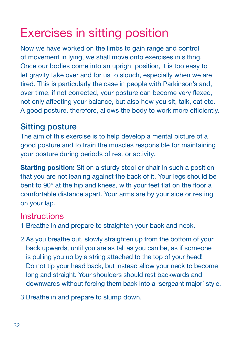## Exercises in sitting position

Now we have worked on the limbs to gain range and control of movement in lying, we shall move onto exercises in sitting. Once our bodies come into an upright position, it is too easy to let gravity take over and for us to slouch, especially when we are tired. This is particularly the case in people with Parkinson's and, over time, if not corrected, your posture can become very flexed, not only affecting your balance, but also how you sit, talk, eat etc. A good posture, therefore, allows the body to work more efficiently.

#### Sitting posture

The aim of this exercise is to help develop a mental picture of a good posture and to train the muscles responsible for maintaining your posture during periods of rest or activity.

**Starting position:** Sit on a sturdy stool or chair in such a position that you are not leaning against the back of it. Your legs should be bent to 90° at the hip and knees, with your feet flat on the floor a comfortable distance apart. Your arms are by your side or resting on your lap.

- 1 Breathe in and prepare to straighten your back and neck.
- 2 As you breathe out, slowly straighten up from the bottom of your back upwards, until you are as tall as you can be, as if someone is pulling you up by a string attached to the top of your head! Do not tip your head back, but instead allow your neck to become long and straight. Your shoulders should rest backwards and downwards without forcing them back into a 'sergeant major' style.
- 3 Breathe in and prepare to slump down.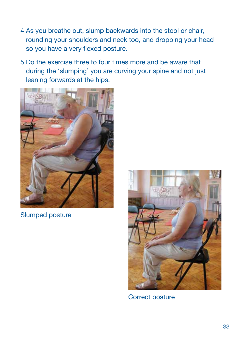- 4 As you breathe out, slump backwards into the stool or chair, rounding your shoulders and neck too, and dropping your head so you have a very flexed posture.
- 5 Do the exercise three to four times more and be aware that during the 'slumping' you are curving your spine and not just leaning forwards at the hips.



Slumped posture



Correct posture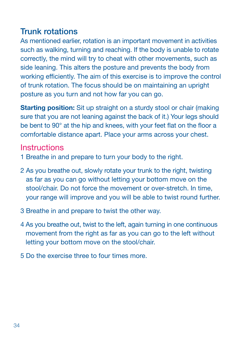#### Trunk rotations

As mentioned earlier, rotation is an important movement in activities such as walking, turning and reaching. If the body is unable to rotate correctly, the mind will try to cheat with other movements, such as side leaning. This alters the posture and prevents the body from working efficiently. The aim of this exercise is to improve the control of trunk rotation. The focus should be on maintaining an upright posture as you turn and not how far you can go.

**Starting position:** Sit up straight on a sturdy stool or chair (making sure that you are not leaning against the back of it.) Your legs should be bent to 90° at the hip and knees, with your feet flat on the floor a comfortable distance apart. Place your arms across your chest.

- 1 Breathe in and prepare to turn your body to the right.
- 2 As you breathe out, slowly rotate your trunk to the right, twisting as far as you can go without letting your bottom move on the stool/chair. Do not force the movement or over-stretch. In time, your range will improve and you will be able to twist round further.
- 3 Breathe in and prepare to twist the other way.
- 4 As you breathe out, twist to the left, again turning in one continuous movement from the right as far as you can go to the left without letting your bottom move on the stool/chair.
- 5 Do the exercise three to four times more.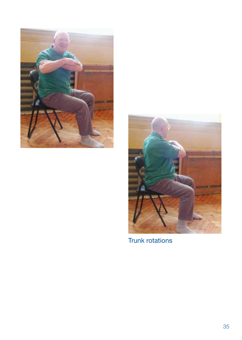



Trunk rotations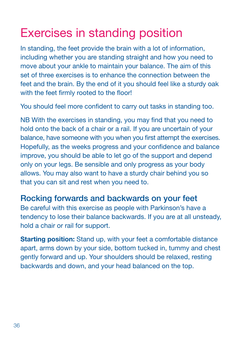## Exercises in standing position

In standing, the feet provide the brain with a lot of information, including whether you are standing straight and how you need to move about your ankle to maintain your balance. The aim of this set of three exercises is to enhance the connection between the feet and the brain. By the end of it you should feel like a sturdy oak with the feet firmly rooted to the floor!

You should feel more confident to carry out tasks in standing too.

NB With the exercises in standing, you may find that you need to hold onto the back of a chair or a rail. If you are uncertain of your balance, have someone with you when you first attempt the exercises. Hopefully, as the weeks progress and your confidence and balance improve, you should be able to let go of the support and depend only on your legs. Be sensible and only progress as your body allows. You may also want to have a sturdy chair behind you so that you can sit and rest when you need to.

#### Rocking forwards and backwards on your feet

Be careful with this exercise as people with Parkinson's have a tendency to lose their balance backwards. If you are at all unsteady, hold a chair or rail for support.

Starting position: Stand up, with your feet a comfortable distance apart, arms down by your side, bottom tucked in, tummy and chest gently forward and up. Your shoulders should be relaxed, resting backwards and down, and your head balanced on the top.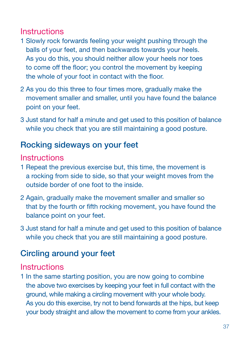#### **Instructions**

- 1 Slowly rock forwards feeling your weight pushing through the balls of your feet, and then backwards towards your heels. As you do this, you should neither allow your heels nor toes to come off the floor; you control the movement by keeping the whole of your foot in contact with the floor.
- 2 As you do this three to four times more, gradually make the movement smaller and smaller, until you have found the balance point on your feet.
- 3 Just stand for half a minute and get used to this position of balance while you check that you are still maintaining a good posture.

#### Rocking sideways on your feet

#### **Instructions**

- 1 Repeat the previous exercise but, this time, the movement is a rocking from side to side, so that your weight moves from the outside border of one foot to the inside.
- 2 Again, gradually make the movement smaller and smaller so that by the fourth or fifth rocking movement, you have found the balance point on your feet.
- 3 Just stand for half a minute and get used to this position of balance while you check that you are still maintaining a good posture.

#### Circling around your feet

#### **Instructions**

1 In the same starting position, you are now going to combine the above two exercises by keeping your feet in full contact with the ground, while making a circling movement with your whole body. As you do this exercise, try not to bend forwards at the hips, but keep your body straight and allow the movement to come from your ankles.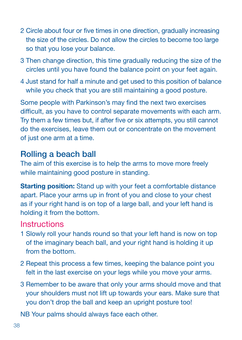- 2 Circle about four or five times in one direction, gradually increasing the size of the circles. Do not allow the circles to become too large so that you lose your balance.
- 3 Then change direction, this time gradually reducing the size of the circles until you have found the balance point on your feet again.
- 4 Just stand for half a minute and get used to this position of balance while you check that you are still maintaining a good posture.

Some people with Parkinson's may find the next two exercises difficult, as you have to control separate movements with each arm. Try them a few times but, if after five or six attempts, you still cannot do the exercises, leave them out or concentrate on the movement of just one arm at a time.

#### Rolling a beach ball

The aim of this exercise is to help the arms to move more freely while maintaining good posture in standing.

**Starting position:** Stand up with your feet a comfortable distance apart. Place your arms up in front of you and close to your chest as if your right hand is on top of a large ball, and your left hand is holding it from the bottom.

#### **Instructions**

- 1 Slowly roll your hands round so that your left hand is now on top of the imaginary beach ball, and your right hand is holding it up from the bottom.
- 2 Repeat this process a few times, keeping the balance point you felt in the last exercise on your legs while you move your arms.
- 3 Remember to be aware that only your arms should move and that your shoulders must not lift up towards your ears. Make sure that you don't drop the ball and keep an upright posture too!

NB Your palms should always face each other.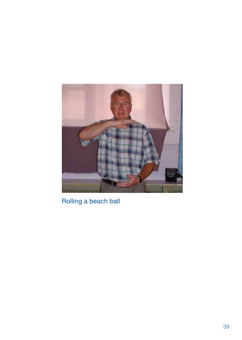

Rolling a beach ball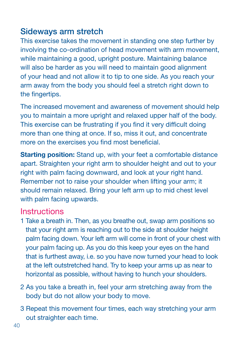#### Sideways arm stretch

This exercise takes the movement in standing one step further by involving the co-ordination of head movement with arm movement, while maintaining a good, upright posture. Maintaining balance will also be harder as you will need to maintain good alignment of your head and not allow it to tip to one side. As you reach your arm away from the body you should feel a stretch right down to the fingertips.

The increased movement and awareness of movement should help you to maintain a more upright and relaxed upper half of the body. This exercise can be frustrating if you find it very difficult doing more than one thing at once. If so, miss it out, and concentrate more on the exercises you find most beneficial.

Starting position: Stand up, with your feet a comfortable distance apart. Straighten your right arm to shoulder height and out to your right with palm facing downward, and look at your right hand. Remember not to raise your shoulder when lifting your arm; it should remain relaxed. Bring your left arm up to mid chest level with palm facing upwards.

- 1 Take a breath in. Then, as you breathe out, swap arm positions so that your right arm is reaching out to the side at shoulder height palm facing down. Your left arm will come in front of your chest with your palm facing up. As you do this keep your eyes on the hand that is furthest away, i.e. so you have now turned your head to look at the left outstretched hand. Try to keep your arms up as near to horizontal as possible, without having to hunch your shoulders.
- 2 As you take a breath in, feel your arm stretching away from the body but do not allow your body to move.
- 3 Repeat this movement four times, each way stretching your arm out straighter each time.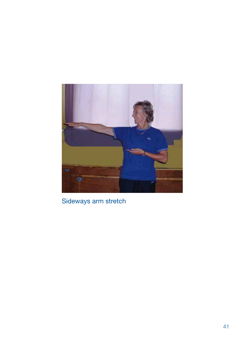

Sideways arm stretch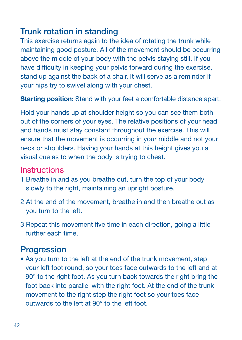#### Trunk rotation in standing

This exercise returns again to the idea of rotating the trunk while maintaining good posture. All of the movement should be occurring above the middle of your body with the pelvis staying still. If you have difficulty in keeping your pelvis forward during the exercise, stand up against the back of a chair. It will serve as a reminder if your hips try to swivel along with your chest.

Starting position: Stand with your feet a comfortable distance apart.

Hold your hands up at shoulder height so you can see them both out of the corners of your eyes. The relative positions of your head and hands must stay constant throughout the exercise. This will ensure that the movement is occurring in your middle and not your neck or shoulders. Having your hands at this height gives you a visual cue as to when the body is trying to cheat.

#### **Instructions**

- 1 Breathe in and as you breathe out, turn the top of your body slowly to the right, maintaining an upright posture.
- 2 At the end of the movement, breathe in and then breathe out as you turn to the left.
- 3 Repeat this movement five time in each direction, going a little further each time.

#### **Progression**

• As you turn to the left at the end of the trunk movement, step your left foot round, so your toes face outwards to the left and at 90° to the right foot. As you turn back towards the right bring the foot back into parallel with the right foot. At the end of the trunk movement to the right step the right foot so your toes face outwards to the left at 90° to the left foot.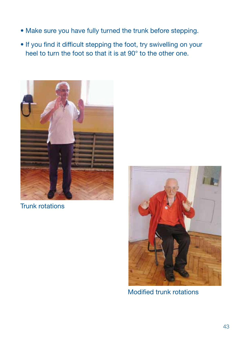- Make sure you have fully turned the trunk before stepping.
- If you find it difficult stepping the foot, try swivelling on your heel to turn the foot so that it is at 90° to the other one.



Trunk rotations



Modified trunk rotations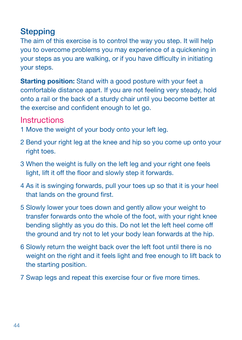#### **Stepping**

The aim of this exercise is to control the way you step. It will help you to overcome problems you may experience of a quickening in your steps as you are walking, or if you have difficulty in initiating your steps.

**Starting position:** Stand with a good posture with your feet a comfortable distance apart. If you are not feeling very steady, hold onto a rail or the back of a sturdy chair until you become better at the exercise and confident enough to let go.

- 1 Move the weight of your body onto your left leg.
- 2 Bend your right leg at the knee and hip so you come up onto your right toes.
- 3 When the weight is fully on the left leg and your right one feels light, lift it off the floor and slowly step it forwards.
- 4 As it is swinging forwards, pull your toes up so that it is your heel that lands on the ground first.
- 5 Slowly lower your toes down and gently allow your weight to transfer forwards onto the whole of the foot, with your right knee bending slightly as you do this. Do not let the left heel come off the ground and try not to let your body lean forwards at the hip.
- 6 Slowly return the weight back over the left foot until there is no weight on the right and it feels light and free enough to lift back to the starting position.
- 7 Swap legs and repeat this exercise four or five more times.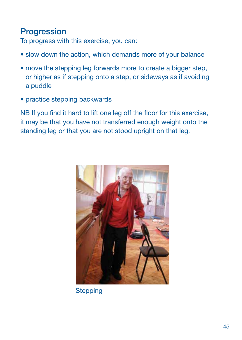#### **Progression**

To progress with this exercise, you can:

- slow down the action, which demands more of your balance
- move the stepping leg forwards more to create a bigger step, or higher as if stepping onto a step, or sideways as if avoiding a puddle
- practice stepping backwards

NB If you find it hard to lift one leg off the floor for this exercise, it may be that you have not transferred enough weight onto the standing leg or that you are not stood upright on that leg.



**Stepping**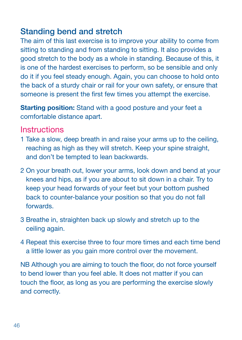#### Standing bend and stretch

The aim of this last exercise is to improve your ability to come from sitting to standing and from standing to sitting. It also provides a good stretch to the body as a whole in standing. Because of this, it is one of the hardest exercises to perform, so be sensible and only do it if you feel steady enough. Again, you can choose to hold onto the back of a sturdy chair or rail for your own safety, or ensure that someone is present the first few times you attempt the exercise.

**Starting position:** Stand with a good posture and your feet a comfortable distance apart.

#### **Instructions**

- 1 Take a slow, deep breath in and raise your arms up to the ceiling, reaching as high as they will stretch. Keep your spine straight, and don't be tempted to lean backwards.
- 2 On your breath out, lower your arms, look down and bend at your knees and hips, as if you are about to sit down in a chair. Try to keep your head forwards of your feet but your bottom pushed back to counter-balance your position so that you do not fall forwards.
- 3 Breathe in, straighten back up slowly and stretch up to the ceiling again.
- 4 Repeat this exercise three to four more times and each time bend a little lower as you gain more control over the movement.

NB Although you are aiming to touch the floor, do not force yourself to bend lower than you feel able. It does not matter if you can touch the floor, as long as you are performing the exercise slowly and correctly.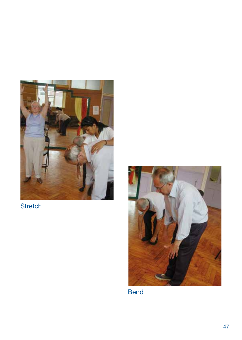

**Stretch** 



Bend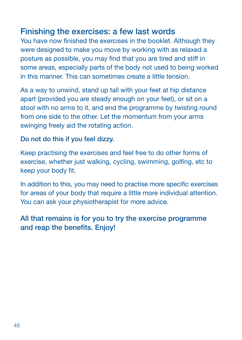#### Finishing the exercises: a few last words

You have now finished the exercises in the booklet. Although they were designed to make you move by working with as relaxed a posture as possible, you may find that you are tired and stiff in some areas, especially parts of the body not used to being worked in this manner. This can sometimes create a little tension.

As a way to unwind, stand up tall with your feet at hip distance apart (provided you are steady enough on your feet), or sit on a stool with no arms to it, and end the programme by twisting round from one side to the other. Let the momentum from your arms swinging freely aid the rotating action.

#### Do not do this if you feel dizzy.

Keep practising the exercises and feel free to do other forms of exercise, whether just walking, cycling, swimming, golfing, etc to keep your body fit.

In addition to this, you may need to practise more specific exercises for areas of your body that require a little more individual attention. You can ask your physiotherapist for more advice.

#### All that remains is for you to try the exercise programme and reap the benefits. Enjoy!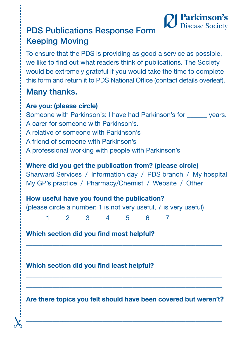

### PDS Publications Response Form Keeping Moving

To ensure that the PDS is providing as good a service as possible, we like to find out what readers think of publications. The Society would be extremely grateful if you would take the time to complete this form and return it to PDS National Office (contact details overleaf).

#### Many thanks.

#### Are you: (please circle)

Someone with Parkinson's: I have had Parkinson's for vears. A carer for someone with Parkinson's. A relative of someone with Parkinson's A friend of someone with Parkinson's A professional working with people with Parkinson's

#### Where did you get the publication from? (please circle)

Sharward Services / Information day / PDS branch / My hospital My GP's practice / Pharmacy/Chemist / Website / Other

How useful have you found the publication? (please circle a number: 1 is not very useful, 7 is very useful)

1 2 3 4 5 6 7

Which section did you find most helpful?

Which section did you find least helpful?

Are there topics you felt should have been covered but weren't? \_\_\_\_\_\_\_\_\_\_\_\_\_\_\_\_\_\_\_\_\_\_\_\_\_\_\_\_\_\_\_\_\_\_\_\_\_\_\_\_\_\_\_\_\_\_\_\_\_\_\_\_\_\_\_\_\_\_\_

 $x - \overline{\phantom{a}}$ 

\_\_\_\_\_\_\_\_\_\_\_\_\_\_\_\_\_\_\_\_\_\_\_\_\_\_\_\_\_\_\_\_\_\_\_\_\_\_\_\_\_\_\_\_\_\_\_\_\_\_\_\_\_\_\_\_\_\_\_ \_\_\_\_\_\_\_\_\_\_\_\_\_\_\_\_\_\_\_\_\_\_\_\_\_\_\_\_\_\_\_\_\_\_\_\_\_\_\_\_\_\_\_\_\_\_\_\_\_\_\_\_\_\_\_\_\_\_\_

\_\_\_\_\_\_\_\_\_\_\_\_\_\_\_\_\_\_\_\_\_\_\_\_\_\_\_\_\_\_\_\_\_\_\_\_\_\_\_\_\_\_\_\_\_\_\_\_\_\_\_\_\_\_\_\_\_\_\_ \_\_\_\_\_\_\_\_\_\_\_\_\_\_\_\_\_\_\_\_\_\_\_\_\_\_\_\_\_\_\_\_\_\_\_\_\_\_\_\_\_\_\_\_\_\_\_\_\_\_\_\_\_\_\_\_\_\_\_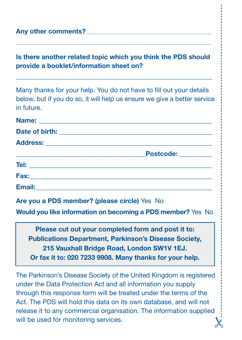#### Any other comments?

#### Is there another related topic which you think the PDS should provide a booklet/information sheet on?

\_\_\_\_\_\_\_\_\_\_\_\_\_\_\_\_\_\_\_\_\_\_\_\_\_\_\_\_\_\_\_\_\_\_\_\_\_\_\_\_\_\_\_\_\_\_\_\_\_\_\_\_\_\_\_\_\_\_\_

\_\_\_\_\_\_\_\_\_\_\_\_\_\_\_\_\_\_\_\_\_\_\_\_\_\_\_\_\_\_\_\_\_\_\_\_\_\_\_\_\_\_\_\_\_\_\_\_\_\_\_\_\_\_\_\_\_\_\_\_\_\_\_\_\_\_\_\_\_\_\_\_\_\_\_\_\_\_\_\_\_\_\_\_\_\_\_\_

Many thanks for your help. You do not have to fill out your details below, but if you do so, it will help us ensure we give a better service in future.

|                                                | Postcode: _________ |
|------------------------------------------------|---------------------|
|                                                |                     |
|                                                |                     |
| Email: <u>________________________________</u> |                     |

Are you a PDS member? (please circle) Yes No

Would you like information on becoming a PDS member? Yes No

Please cut out your completed form and post it to: Publications Department, Parkinson's Disease Society, 215 Vauxhall Bridge Road, London SW1V 1EJ. Or fax it to: 020 7233 9908. Many thanks for your help.

The Parkinson's Disease Society of the United Kingdom is registered under the Data Protection Act and all information you supply through this response form will be treated under the terms of the Act. The PDS will hold this data on its own database, and will not release it to any commercial organisation. The information supplied will be used for monitoring services.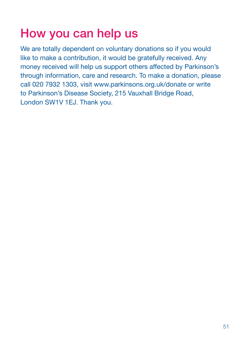### How you can help us

We are totally dependent on voluntary donations so if you would like to make a contribution, it would be gratefully received. Any money received will help us support others affected by Parkinson's through information, care and research. To make a donation, please call 020 7932 1303, visit www.parkinsons.org.uk/donate or write to Parkinson's Disease Society, 215 Vauxhall Bridge Road, London SW1V 1EJ. Thank you.